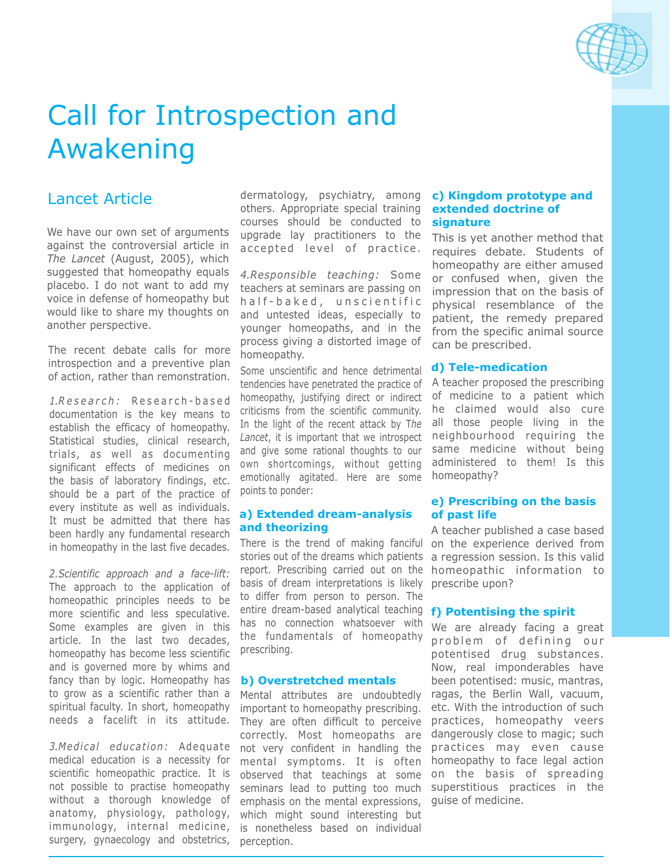

# Call for Introspection and Awakening

# Lancet Article

We have our own set of arguments against the controversial article in *The Lancet* (August, 2005), which suggested that homeopathy equals placebo. I do not want to add my voice in defense of homeopathy but would like to share my thoughts on another perspective.

The recent debate calls for more introspection and a preventive plan of action, rather than remonstration.

*1.R e s e a r c h :* R e s e a r c h - b a s e d documentation is the key means to establish the efficacy of homeopathy. Statistical studies, clinical research, trials, as well as documenting significant effects of medicines on the basis of laboratory findings, etc. should be a part of the practice of every institute as well as individuals. It must be admitted that there has been hardly any fundamental research in homeopathy in the last five decades.

*2.Scientific approach and a face-lift:* The approach to the application of homeopathic principles needs to be more scientific and less speculative. Some examples are given in this article. In the last two decades, homeopathy has become less scientific and is governed more by whims and fancy than by logic. Homeopathy has to grow as a scientific rather than a spiritual faculty. In short, homeopathy needs a facelift in its attitude.

*3.Medical education:* Adequate medical education is a necessity for scientific homeopathic practice. It is not possible to practise homeopathy without a thorough knowledge of anatomy, physiology, pathology, immunology, internal medicine, surgery, gynaecology and obstetrics,

dermatology, psychiatry, among others. Appropriate special training courses should be conducted to upgrade lay practitioners to the accepted level of practice.

*4.Responsible teaching:* Some teachers at seminars are passing on half-baked, unscientific and untested ideas, especially to younger homeopaths, and in the process giving a distorted image of homeopathy.

Some unscientific and hence detrimental tendencies have penetrated the practice of homeopathy, justifying direct or indirect criticisms from the scientific community. In the light of the recent attack by T*he Lancet*, it is important that we introspect and give some rational thoughts to our own shortcomings, without getting emotionally agitated. Here are some points to ponder:

### **a) Extended dream-analysis and theorizing**

There is the trend of making fanciful stories out of the dreams which patients report. Prescribing carried out on the homeopathic information to basis of dream interpretations is likely prescribe upon? to differ from person to person. The entire dream-based analytical teaching **f) Potentising the spirit** has no connection whatsoever with the fundamentals of homeopathy prescribing.

### **b) Overstretched mentals**

Mental attributes are undoubtedly important to homeopathy prescribing. They are often difficult to perceive correctly. Most homeopaths are not very confident in handling the mental symptoms. It is often observed that teachings at some seminars lead to putting too much emphasis on the mental expressions, which might sound interesting but is nonetheless based on individual perception.

### **c) Kingdom prototype and extended doctrine of signature**

This is yet another method that requires debate. Students of homeopathy are either amused or confused when, given the impression that on the basis of physical resemblance of the patient, the remedy prepared from the specific animal source can be prescribed.

### **d) Tele-medication**

A teacher proposed the prescribing of medicine to a patient which he claimed would also cure all those people living in the neighbourhood requiring the same medicine without being administered to them! Is this homeopathy?

### **e) Prescribing on the basis of past life**

A teacher published a case based on the experience derived from a regression session. Is this valid

We are already facing a great problem of defining our potentised drug substances. Now, real imponderables have been potentised: music, mantras, ragas, the Berlin Wall, vacuum, etc. With the introduction of such practices, homeopathy veers dangerously close to magic; such practices may even cause homeopathy to face legal action on the basis of spreading superstitious practices in the guise of medicine.